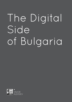# The Digital Side of Bulgaria

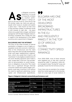a Bulgarian economic<br>
researcher, it is my job<br>
to frequently compare<br>
my country's perfor-<br>
mance in various as-<br>
pects to the rest of the EU. Since the EU has researcher, it is my job to frequently compare my country's performance in various as-28 member states, bar charts are quite adequate when trying to visualize and explain a given issue. I have found out that once a chart has been created, my attention tends to drift towards its right side – the place where one usually finds a meager, well below average bar with the label "Bulgaria" below it. All things considered, this is hardly the case in regard to the development of the digital economy and e-government in Bulgaria.

### BULGARIANS AND THE INTERNET

The story of the initial increase of internet penetration in Bulgaria is one of highly unregulated social and economic interaction. Most of the infrastructure and the client base in big cities were actually developed by small semi-legal neighborhood organizations, which one would find it hard to call "businesses" in any legally accepted sense of the word. Monthly payments were made in cash, usually after a visit from "the provider" with no documentation to certify transactions or obligations of any kind. This meant that once a significant (though informal) consumer market was in place, bigger companies could step in and buy it out without the need for significant advertising, human capital and infrastructural expenditures.

77 BULGARIA HAS ONE OF THE MOST DEVELOPED BROADBAND INFRASTRUCTURES IN THE EU AND FREQUENTLY MAKES IT IN THE TOP 10 OF VARIOUS GLOBAL CONNECTIVITY SPEED RANKINGS

From 2000-2006, most of these ventures were legalized just so that they could be acquired by cable TV operators, while others managed to keep "the big fish" away and gradually moved into the formal economy.

If ever there was an example of an unregulated free market approach to the development of a new type of social relations in

|                                            | WORLD AVERAGE | FU                 | <b>BULGARIA</b> |
|--------------------------------------------|---------------|--------------------|-----------------|
| <b>Connection speed</b><br>(Q1 2016)       | 6.3 Mbps      | 7.2 - 21.3 Mbps    | 15.8 Mbps       |
| Average peak connection speed<br>(Q1 2016) | 34.7 Mbps     | $28.4 - 84.4$ Mbps | 59.0 Mbps       |
| Households with Internet access<br>(2015)  | 43%           | 82%                | 59%             |

Figure 1: Bulgaria's internet connectivity performance card

Sources: Eurostat, National Statistical Institute, Akamai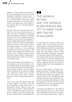Bulgaria – it is the spread of the Internet in the country. Bulgaria has one of the most developed broadband infrastructures in the EU and frequently makes it in the top 10 of various global connectivity speed rankings. However, all is not well when it comes to the significance of the Internet in the everyday life of an average Bulgarian. [See Figure 1]

Bulgaria is still one of the European countries with the lowest Internet access. In 2015, only 59% of Bulgarian households were connected to the Internet, compared to 82% in the EU. This relatively low level is indicative not only of the low standard of living of a (still) significant part of the population, but also of the severe demographic situation in some of the country's poorer and isolated regions. The latter results in the online exclusion of two seemingly unrelated socio-economic groups: 1) old people living in villages and 2) Roma communities, which usually comprise households with a large number of dependents, where parents have limited or no employment opportunities.

While a serious study of the catalysts of online exclusion is yet to be carried out, it is my understanding that demographic (age) and socioeconomic factors (cultural differences, poverty, illiteracy, social and labor market exclusion) by far play the leading role, compared to others such as central and local government policy, business practices, or basic infrastructural development.

This is also in line with what the little data we have suggests: according to the National Statistical Institute (NSI) 51.6% of households without internet access say that they lack the basic IT skills needed for using it, while 38.5% say they could not afford it. In addition, just 31% of people aged 55-64 and about 10% of people aged over

# 99 THE AVERAGE RETIREE AND THE AVERAGE ROMA PERSON ARE YET TO MAKE THEIR WAY ONI INF IN BULGARIA

65 have used the Internet at least once weekly in 2015. The two districts with the largest share of self-declared Roma population (Montana and Sliven) are also among those with the smallest share of households that had internet access in 2015 (36.8% and 44.6% respectively, compared to a national average of 59.1%) Simply put – the average retiree and the average Roma person are yet to make their way online in Bulgaria. While this means that there still exists a significant internet user market, it is highly unlikely that it will be developed in the short term.

We see a similar pattern in regard to Bulgarian businesses. The latest (2015) Eurostat data show that only 48% of Bulgarian enterprises have their own website, compared to 75% in the EU. The difference with average EU-levels is most significant in regard to micro and small enterprises (44% for Bulgaria and 72% for the EU), but the latter by far form the most significant share in regard to the size of enterprises.

In contrast, the difference in the share of large enterprises (the ones that employ over 250 people) that have their own website is just 10 percentage points – 84% for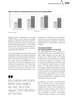

#### Figure 2: Share of enterprises that have their own website (2015)

Source: Eurostat

Bulgarian ones, compared to an average of 94%. What is more, medium and large Bulgarian enterprises have been quicker to catch up with their European counterparts (narrowing the difference by 7 percentage points in the 2010-2015 period), than micro and small enterprises (just 2 percentage points). [See Figure 2]

One of the explanations behind this is that a significant share of the larger enterprises in Bulgaria is actually owned by foreigners. While somewhat discouraging, the numbers show that the development of online trade and services in Bulgaria is yet to achieve its true potential. This means that a significant buffer still exists for lowering prices for domestic consumers. Online transactions have been proven to be

99 BULGARIA HAS EVEN BEEN DESCRIBED AS THE "SILICON VALLEY" OF IT-RELATED ACTIVITIES

cheaper than traditional ones, mainly because of the cost-optimization that onlinebased businesses can achieve in regard to expenditures on transportation, labor and storage.

#### THE DEVELOPMENT OF THE BULGARIAN ICT SECTOR

The rapid expansion of the country's ICT sector has been well documented by foreign media. Bulgaria has even been described as the "Silicon Valley" of IT-related activities and is one of the few EU countries to have ever made it in a number of Top 10 outsourcing destinations rankings such as AT Kearney's Global Services Location Index. The main drivers behind ICT sector foreign investment have been the (still) competitive wages, the relatively low rents for office spaces, the excellent broadband infrastructure, the country's EU membership and the Bulgarian tax system, which boasts a flat 10% tax on individual income and a 10% corporate tax rate.

According to Eurostat, from 2006-2014, the ICT sector's share of the country's annual gross value added tax (GVA) increased from 3.8% to 5.6%, while the EU average actually dropped from 5.0% to 4.9%. The influx of foreign ICT companies in Bulgaria has led to a significant increase in labor demand, thus causing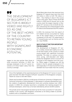99 THE DEVELOPMENT OF BULGARIA'S ICT SECTOR IS WIDELY VIEWED (AND RIGHTLY SO) AS ONE OF THE BEST HOPES OF THE COUNTRY TO RETAIN YOUNG PEOPLE WITH SIGNIFICANT ECONOMIC POTENTIAL

wages to rise way quicker than those in other economic activities. In 2015, the average employee in the ICT sector received a 2.5 times higher salary than the country's average.

World Bank data shows that revenues from Bulgarian ICT exports have risen from EUR 113 million in 2011 to EUR 778 million in 2015 – thus tripling in value in the course of just a few years. Most of these (EUR 465 million in 2015) are EU-bound, but on the country level the largest importer of Bulgarian ICT services is the US (EUR 152 million), followed by the United Kingdom (EUR 97 million) and Switzerland (EUR 41 million).

In 2015, the revenues from the export of ICT-related services accounted for nearly 11% of the overall export of all services, compared to 9.5% and 7.7% respectively in ICT powerhouses such as Estonia and the UK. [ See FRAME]

#### WHY IS THE ICT SECTOR IMPORTANT FOR BULGARIA?

The development of Bulgaria's ICT sector is widely viewed (and rightly so) as one of the best hopes of the country to retain young people with significant economic potential. The latter is a serious concern, since young, well-educated and highly productive Bulgarians tend to account for a big part of the migration from the country. While wages in Bulgaria are still the lowest in the EU, people employed in ICT (and especially in IT) have found their living standard rise much faster than the country

One of the highlights of the rapid development of the Bulgarian ICT sector in recent years has been the 2014 "Progress Software" acquisition of the Bulgarian company Telerik for close to USD 260 million.

Telerik was founded in 2002 by a small group of American University in Bulgaria and Technical University of Sofia graduates. It specialized in software development and the creation of application development tools and currently employs over 1,000 people. In 2009, the company launched a completely free training program for software developers, which has so far been attended by almost 10,000 students.

This private sector-led program has been by far the most successful ICT education initiative in the country, with Bulgarian universities so far being unable to provide students with a comparable curriculum.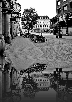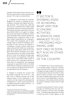average, which lowers their economic motives for searching for career opportunities abroad. This is due to several factors:

1. Compared to most other EU countries, Bulgaria's tax system is relatively accommodative of people with higher than average earnings. The country has a 10% flat income tax, combined with a BGN 2,600 gross salary maximum insurance threshold. The latter practically means that all income above BGN 2,600 is not subject to obligatory social and health contributions, which form the largest share of direct taxation for individuals and a significant share of the labor-related expenditures for employers. This means that employees get to keep a larger share of what the employer actually pays for their services. For instance, if a developer received a BGN 2,600 gross salary (around EUR 1,330), he would presently get to keep BGN 2,038 of the total BGN 3,070 that the employer has to pay<sup>1</sup>. This means that his net salary would equal 66.4% of what the employer actually pays for his services. In comparison, if the gross salary was to reach BGN 4,000 (which is quite common for IT specialists with five or more years of experience), the employee would get to keep BGN 3,135 of the BGN 4,470 that the employer would have to pay. The net salary now equals 70.1% of the total expenditures by the employer.

2. Bulgaria is currently the country with the lowest corporate tax in the EU  $-$  just 10%. This is, without a doubt, one of the leading drivers of FDI investment in the country and has helped the development of Bulgaria's ICT sector, which has led to an increased demand for labor and thus – to higher wages for employees.

99 IT SECTOR IS SHOWING SIGNS OF ACHIEVING WHAT VERY FEW ECONOMIC ACTIVITIES IN SERVICES HAVE MANAGED TO DO – PROVIDING HIGH PAYING JOBS NOT ONLY IN SOFIA, BUT ALSO IN OTHER REGIONS OF THE COUNTRY

3. The differences in the purchasing power of average wages across EU countries means that each euro in additional income in Bulgaria actually enables the acquisition of more products and services than in many other EU other countries. This is especially the case for higher paying jobs such as the ones in the ICT and (especially) IT sectors, also because of the already mentioned flat tax system, resulting in lower taxes on high earners.

It is worth noting that the IT sector is showing signs of achieving what very few economic activities in services have managed to do – providing high paying jobs not only in Sofia, but also in other regions of the

 $1$  Note that the expenses for the employers are actually higher than the gross salary, because of their obligation to pay around 60% of the total compulsory social insurance payments.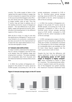country. The under-supply of labor in the capital and the rapid increase in wages has forced companies to expand their activities in the second and third biggest cities (Plovdiv and Varna) and has created incentives to target smaller cities as well. Thus the IT sector may yet help to address one of the leading economic issues in Bulgaria at present – the vast differences in job availability, wages and general economic diversification and development in the different regions of the country.

With all this in mind, it is easy to see why the significance of Bulgaria's IT sector is not only limited to its economic contribution, but also accounts for the improvement (or at least the less rapid deterioration) of social and demographic trends.

#### ICT WAGES AND EMPLOYEES

In order to better understand the appeal of the ICT sector in Bulgaria, one has to look a bit deeper than the headline wage and employment numbers. The latest available and comparable data from Eurostat and the National Statistical Institute (NSI) shows that:

• In 2010, the number of Bulgarians employed in the private ICT sector stood at 57,994 people, accounting for 3.5% of all private employees, compared to 3.4% in the EU. Nominal gross annual average earnings stood at EUR 8,778, compared to EUR 43,897 in the EU, which translates to 20% of the EU average.

• In 2014, the number of Bulgarians employed in the private ICT sector stood at 69,093 people, accounting for 4.1% of all employed, compared to 3.6% in the EU. Nominal gross annual average earnings stood at EUR 11,924, compared to EUR 46,647 in the EU, which translates to 26% of the EU average.

• In 2015, average gross wages in the Bulgarian ICT sector raised by an additional 7% while the number of employees increased by 1,750 people (a 2.5% increase). Although no comparable data is yet available on the EU level, these figures suggest that the catch-up process is well on track.

Despite the fact that the difference still seems significant, it has to be noted that the purchasing power of ICT sector wages in Bulgaria is highly competitive, when compared to those in other EU countries. The aforementioned differences in taxation levels and the peculiarities of the Bulgarian tax system (namely, the maximum insurance threshold) mean



#### Figure 3: Annual average wages in the ICT sector

Source: Eurostat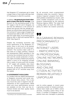that Bulgarian ICT employees get to keep a larger share of their gross earnings than ICT employees in other EU countries.

In addition, the general price level in Bulgaria is lower than the EU-average. If we account for the purchasing power of the ICT wages in the EU and in Bulgaria, we see that the difference in the amount of goods and services that the average employee can afford drops significantly. While the nominal ICT gross wage in Bulgaria has increased from 20% to 26% of the EU average from 2010-2014, its purchasing power stood at 45% in 2010 and reached 55% in 20142. [See Figure 3]

Despite the increasing economic and social significance of the Bulgarian ICT sector, there is still much to be desired, especially on account of the central government. The country's labor code is in bad need of a major overhaul, research and development (R&D) spending in the economy has remained low by EU standards and the overall protection of property rights (including intellectual property rights) is more of an intriguing concept than a reality. At some point the increase in ICT wages will probably slow down due to international competitiveness pressures, as well as the aforementioned gradual shift of ICT activities away from the capital.

#### E-GOVERNMENT IN BULGARIA

It is evident that the digital development of Bulgaria's economy and social relations remains fairly uneven. This is also very much the case in regard to the development of the e-government. While more and more administrative services are available on-line, their use has remained limited and their quality leaves much to be desired.

By all accounts most e-government initiatives under the country's "Administrative Capacity" program from 2007- 2013 yielded unsatisfactory results, with some notable exceptions such as the projects implemented by the National Revenue Agency (NRA). The latter had a telling effect on both the NRA's capacity to detect tax evasion practices,

99 BULGARIANS REMAIN PREDOMINANTLY "PASSIVE" INTERNET USERS – PARTICIPATION IN PROFESSIONAL ONLINE NETWORKS, ONLINE BANKING, BLOGGING AND ONLINE CITIZEN ACTIVITIES REMAIN RELATIVELY UNPOPULAR

and its online appeal; in recent years a growing number of citizens and businesses have made use of NRA's online services, including online filing of tax forms. A number of Bulgarian municipalities have also managed to gradually

<sup>&</sup>lt;sup>2</sup> According to own calculations based on Eurostat.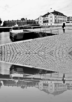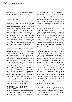implement various e-government tools, including online public procurement portals, administrative and tax-related services and various two-way communication methods.

Despite all these improvements, the use of such services has remained limited, as many citizens and businesses have yet to try and take advantage of the available options. Bulgarians remain predominantly "passive" internet users – participation in professional online networks, online banking, blogging and online citizen activities remain relatively unpopular. NSI data shows that in 2015, less than 18% of internet users had any contact with local or state institutions and less than half of them actually engaged in two-way communication.

Despite the ongoing push for the introduction of various e-government services, most Bulgarian lawmakers and political parties showed reluctance in regard to the adoption and implementation of online voting (e-voting). Recent successful hacker attacks against a number of government websites (including the Central Election Commission) have proven that some of the concerns regarding the country's preparedness for such a venture are well founded. However, most arguments against the introduction of e-voting in the country's elections and referendums came from parties that traditionally lack support from Bulgarians living abroad. After a successful, but not legally binding referendum was carried out, and under continuous public pressure, the Parliament finally introduced and voted legislation that foresees the gradual implementation of online voting (after an initial testing phase) into power.

#### THE OPEN DATA MOVEMENT IN BULGARIA

In recent months the coalition government has repeatedly tried to portray Bulgaria as a "trend setter" in regard to public open

data initiatives. While such a statement is clearly exaggerated, it is true that as far as the development of e-government and the openness of public administrative bodies are concerned, the current administration has managed to achieve visible results and has put forward proposals and solutions to some long overdue issues.

For instance, Bulgaria ranked 16<sup>th</sup> in the 2015 Global Open Data Index, up from 51st in 2014, thus surpassing countries such as: Slovakia, Latvia, Austria, Switzerland and even Germany. The country received high rankings for the openness of its "National Statistics", "Procurement Tenders", "Election Results" and "Government Budget" datasets, large parts of which are already available in various electronic formats and are easily accessible.

The positive results that have been achieved during the past two years are to a large extent a result of the efforts of Rumiana Bachvarova, the Deputy Prime Minister for Coalition Policy and Public Administration and acting Minister of Interior, and what has come to be known as "her team". The latter consists of leading e-government and digital economy activists (mostly developers), who have been charged with the ambitious task to practically change the mentality and practices of Bulgarian administrative bodies in regard to the way they collect, store and publish information. They are also the leading force behind the development of the www.opendata.government.bg portal (the official repository and the main go-to place for open data in the country) and also act as advisors in the legislative open data and e-government initiatives.

This expert-led approach to the development of functioning public systems and corresponding legislation may be a common practice in many European countries, but is somewhat of an exception in the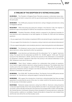## A TIMELINE OF THE ADOPTION OF E-VOTING IN BULGARIA

01/29/2014 – The President of Bulgaria Rosen Plevneliev proposes a referendum about electronic voting (to be held in conjunction with the upcoming European Parliament elections in May the same year).

02/03/2014 – The CEDB party proposes full electronic voting in Bulgaria and electronic voting for Bulgarians abroad.

02/12/2014 – While discussing and voting the changes in the Election Code, the majority in parliament rejects the proposal of CEDB for the introduction of electronic voting.

**06/03/2015** – President Plevneliev officially submits a proposal to the National Assembly for local elections and a referendum to be held together on October 25, 2015 with the following questions:

1. Do you support part of the members of parliament (MPs) to be elected through a majoritarian system?

2. Do you support the introduction of compulsory voting in elections and national referendums?

3. Do you support being able to vote remotely by electronic means during elections and referendums?

07/28/2015 - The Parliament narrows down the presidential referendum only to the question about electronic voting, rejecting the other two questions.

10/25/2015 – Local elections are held along with the referendum "for" or "against" electronic voting. The results from the referendum are 69.5% "for", 25.99% "against", 4.51% void. The total turnout for the referendum is 39.6%, and thus the outcome of the referendum is not binding?? for Parliament. However, regulations state that if the activity in the national referendum is over 20%, Parliament must vote on the issue.

11/10/2015 – "Slavi's Show" initiates a petition for a referendum that contains six questions, one of which is again whether electronic voting should be introduced. The initiative lasts three months and in the end manages to collect 673,481 signatures. In May 2016, the questions are approved by Parliament without changes to be held as referendum along with the presidential elections in November the same year.

01/28/2016 - The CEDB, MRF, The Reformist Block, The Patriotic Front and ABR parties declare themselves "for" the electronic voting and support it during the discussions.

02/09/2016 – MPs support the introduction of electronic voting (provided that there are legal guarantees for protecting the secret of the vote, for civilian control of the election process and for the security of information systems).

04/27/2016 – Parliament adopts electronic voting from 2018 on. Electronic voting should be conducted experimentally three times during 2018 (to be held in one electorate region) and if successful, will be officially introduced in the elections for European MPs in 2019. Until that date, the Central Election Commission should do three simulations of remote electronic voting with fictitious parties, coalitions or candidates. People will be able to change their vote multiple times and the last vote will be the one that actually counts.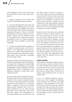case of Bulgaria. In the course of two years Ms. Bachvarova and her team have managed to:

1. develop, popularize and monitor the country's official open data web-portal;

2. push through legislation that makes the use of publicly available open source code a prerequisite for the eligibility of projects under the 2014-2020 "Good Governance" Operational Program of the EU. The 2016 amendments in the Law of Electronic Governance require that all software written for the government is open source and is developed as such in a public repository (thus being freely available to practically everyone);

3. increase the administrative capacity of a number of public bodies, which has resulted in the publication and follow-up support of a number administrative registries and datasets that (although theoretically public) were practically unavailable for the average citizen.

Despite all these positive developments, as has been repeatedly pointed out by Bulgarian researchers, developers and open data enthusiasts, the unavailability or low quality of geographic location and land ownership datasets pose serious challenges for the adequate utilization of many other informational sources.

Some of these shortcomings are the predictable result of the woefully slow development of the country's cadastral maps, as well as the general problems with land ownership and protection of property rights. In addition, many of the recently opened public datasets (with a few notable exceptions) do not really provide developers and researchers with tools that can support the development of sustainable applications or products and

are rather "static" in nature. To some extent, these deficiencies will probably be overcome with time, but they are worth noting and are probably one of the main reasons why Bulgarian companies and NGOs have so far been unable to secure funding from open data related initiatives such as Google's "Digital News Initiative" (DNI) and EU's Horizon 2020 "Open Data Incubator for Europe" (ODINE).

Despite the fact that open data initiatives should (in theory) empower NGOs, citizens and businesses to exercise control over the policy making process, the latter is yet to materialize in Bulgaria. I would argue that some of the reasons for this lie not in the datasets themselves, but rather in the lack of expertise, practical and technical preparedness of Bulgaria's nongovernmental sector to make good use of big data. Still, there have been some recent good examples of data-driven journalism and open data applications that suggest that this problem will be overcome with time.

#### **CONCLUSIONS**

Most aspects of Bulgaria's digital development are well on track with that of the EU as a whole. While there is plenty of praise to go around, the rise of the ICT sector and the push for open public institutions has been almost entirely due to the efforts of citizens and businesses (local, as well as foreign ones).

As far as crediting Bulgarian governments goes, their biggest contribution so far has been the reluctant, yet visible adoption of the imperatives of the digital society. Institutions have been slow to change their ways, but they are increasingly doing so, by offering digital alternatives to traditional administrative services and providing access to previously buried data sets.